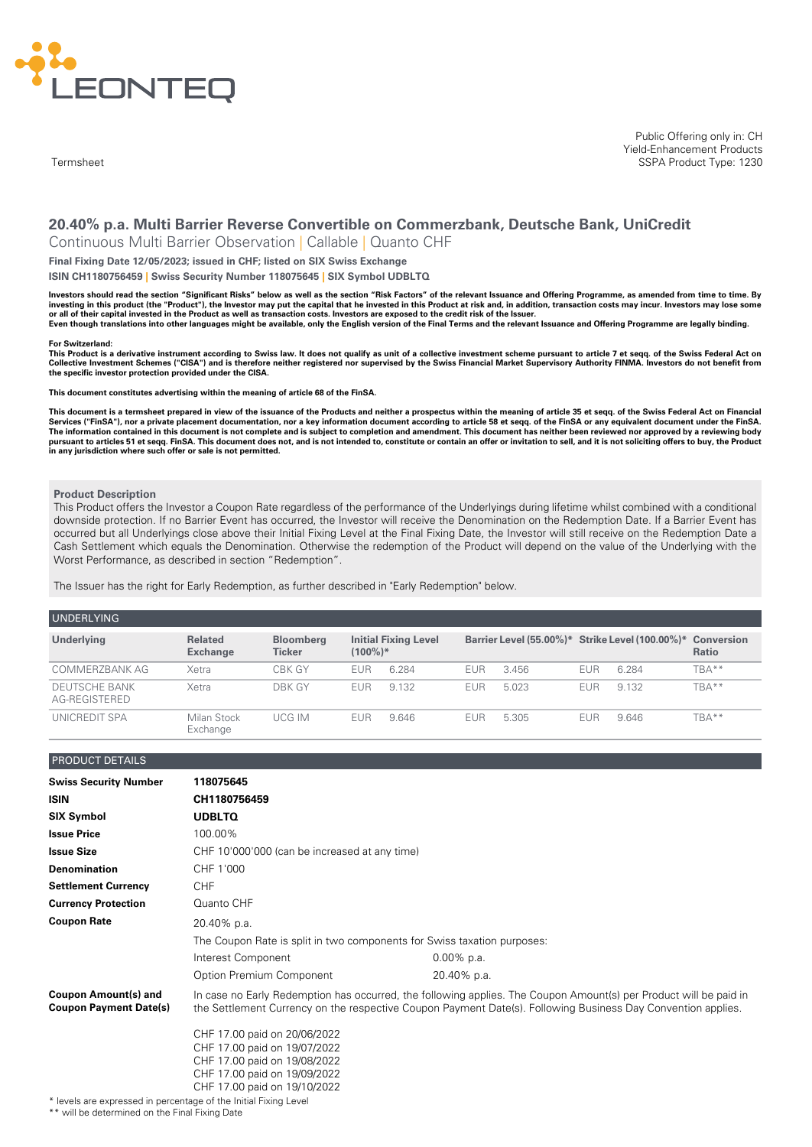

**Termsheet** 

Public Offering only in: CH Yield-Enhancement Products SSPA Product Type: 1230

# **20.40% p.a. Multi Barrier Reverse Convertible on Commerzbank, Deutsche Bank, UniCredit**

Continuous Multi Barrier Observation | Callable | Quanto CHF

**Final Fixing Date 12/05/2023; issued in CHF; listed on SIX Swiss Exchange**

**ISIN CH1180756459 | Swiss Security Number 118075645 | SIX Symbol UDBLTQ**

Investors should read the section "Significant Risks" below as well as the section "Risk Factors" of the relevant Issuance and Offering Programme, as amended from time to time. By investing in this product (the "Product"), the Investor may put the capital that he invested in this Product at risk and, in addition, transaction costs may incur. Investors may lose some or all of their capital invested in the Product as well as transaction costs. Investors are exposed to the credit risk of the Issuer. Even though translations into other languages might be available, only the English version of the Final Terms and the relevant Issuance and Offering Programme are legally binding.

#### **For Switzerland:**

This Product is a derivative instrument according to Swiss law. It does not qualify as unit of a collective investment scheme pursuant to article 7 et segg. of the Swiss Federal Act on Collective Investment Schemes ("CISA") and is therefore neither registered nor supervised by the Swiss Financial Market Supervisory Authority FINMA. Investors do not benefit from **the specific investor protection provided under the CISA.**

**This document constitutes advertising within the meaning of article 68 of the FinSA.**

This document is a termsheet prepared in view of the issuance of the Products and neither a prospectus within the meaning of article 35 et seqq. of the Swiss Federal Act on Financial<br>Services ("FinSA"), nor a private place The information contained in this document is not complete and is subject to completion and amendment. This document has neither been reviewed nor approved by a reviewing body pursuant to articles 51 et seqq. FinSA. This document does not, and is not intended to, constitute or contain an offer or invitation to sell, and it is not soliciting offers to buy, the Product<br>in any jurisdiction where su

#### **Product Description**

This Product offers the Investor a Coupon Rate regardless of the performance of the Underlyings during lifetime whilst combined with a conditional downside protection. If no Barrier Event has occurred, the Investor will receive the Denomination on the Redemption Date. If a Barrier Event has occurred but all Underlyings close above their Initial Fixing Level at the Final Fixing Date, the Investor will still receive on the Redemption Date a Cash Settlement which equals the Denomination. Otherwise the redemption of the Product will depend on the value of the Underlying with the Worst Performance, as described in section "Redemption".

The Issuer has the right for Early Redemption, as further described in "Early Redemption" below.

| <b>UNDERLYING</b>                     |                                   |                                   |            |                             |            |                                                            |            |         |       |
|---------------------------------------|-----------------------------------|-----------------------------------|------------|-----------------------------|------------|------------------------------------------------------------|------------|---------|-------|
| Underlying                            | <b>Related</b><br><b>Exchange</b> | <b>Bloomberg</b><br><b>Ticker</b> | $(100\%)*$ | <b>Initial Fixing Level</b> |            | Barrier Level (55.00%)* Strike Level (100.00%)* Conversion |            |         | Ratio |
| COMMERZBANK AG                        | Xetra                             | CBK GY                            | EUR        | 6 284                       | <b>EUR</b> | 3.456                                                      | <b>EUR</b> | 6 2 8 4 | TBA** |
| <b>DEUTSCHE BANK</b><br>AG-REGISTERED | Xetra                             | DBK GY                            | <b>EUR</b> | 9.132                       | <b>EUR</b> | 5.023                                                      | <b>EUR</b> | 9.132   | TBA** |
| UNICREDIT SPA                         | Milan Stock<br>Exchange           | UCG IM                            | <b>EUR</b> | 9.646                       | <b>EUR</b> | 5.305                                                      | EUR        | 9.646   | TBA** |

## PRODUCT DETAILS

| <b>Swiss Security Number</b>                                     | 118075645                                                                                                                                                    |                                                                                                                                                                                                                                   |  |
|------------------------------------------------------------------|--------------------------------------------------------------------------------------------------------------------------------------------------------------|-----------------------------------------------------------------------------------------------------------------------------------------------------------------------------------------------------------------------------------|--|
| <b>ISIN</b>                                                      | CH1180756459                                                                                                                                                 |                                                                                                                                                                                                                                   |  |
| <b>SIX Symbol</b>                                                | <b>UDBLTQ</b>                                                                                                                                                |                                                                                                                                                                                                                                   |  |
| <b>Issue Price</b>                                               | 100.00%                                                                                                                                                      |                                                                                                                                                                                                                                   |  |
| <b>Issue Size</b>                                                | CHF 10'000'000 (can be increased at any time)                                                                                                                |                                                                                                                                                                                                                                   |  |
| <b>Denomination</b>                                              | CHF 1'000                                                                                                                                                    |                                                                                                                                                                                                                                   |  |
| <b>Settlement Currency</b>                                       | <b>CHF</b>                                                                                                                                                   |                                                                                                                                                                                                                                   |  |
| <b>Currency Protection</b>                                       | Quanto CHF                                                                                                                                                   |                                                                                                                                                                                                                                   |  |
| <b>Coupon Rate</b>                                               | 20.40% p.a.                                                                                                                                                  |                                                                                                                                                                                                                                   |  |
|                                                                  | The Coupon Rate is split in two components for Swiss taxation purposes:                                                                                      |                                                                                                                                                                                                                                   |  |
|                                                                  | Interest Component                                                                                                                                           | $0.00\%$ p.a.                                                                                                                                                                                                                     |  |
|                                                                  | Option Premium Component                                                                                                                                     | 20.40% p.a.                                                                                                                                                                                                                       |  |
| <b>Coupon Amount(s) and</b><br><b>Coupon Payment Date(s)</b>     |                                                                                                                                                              | In case no Early Redemption has occurred, the following applies. The Coupon Amount(s) per Product will be paid in<br>the Settlement Currency on the respective Coupon Payment Date(s). Following Business Day Convention applies. |  |
| * levels are expressed in percentage of the Initial Fixing Level | CHF 17.00 paid on 20/06/2022<br>CHF 17.00 paid on 19/07/2022<br>CHF 17.00 paid on 19/08/2022<br>CHF 17.00 paid on 19/09/2022<br>CHF 17.00 paid on 19/10/2022 |                                                                                                                                                                                                                                   |  |

\*\* will be determined on the Final Fixing Date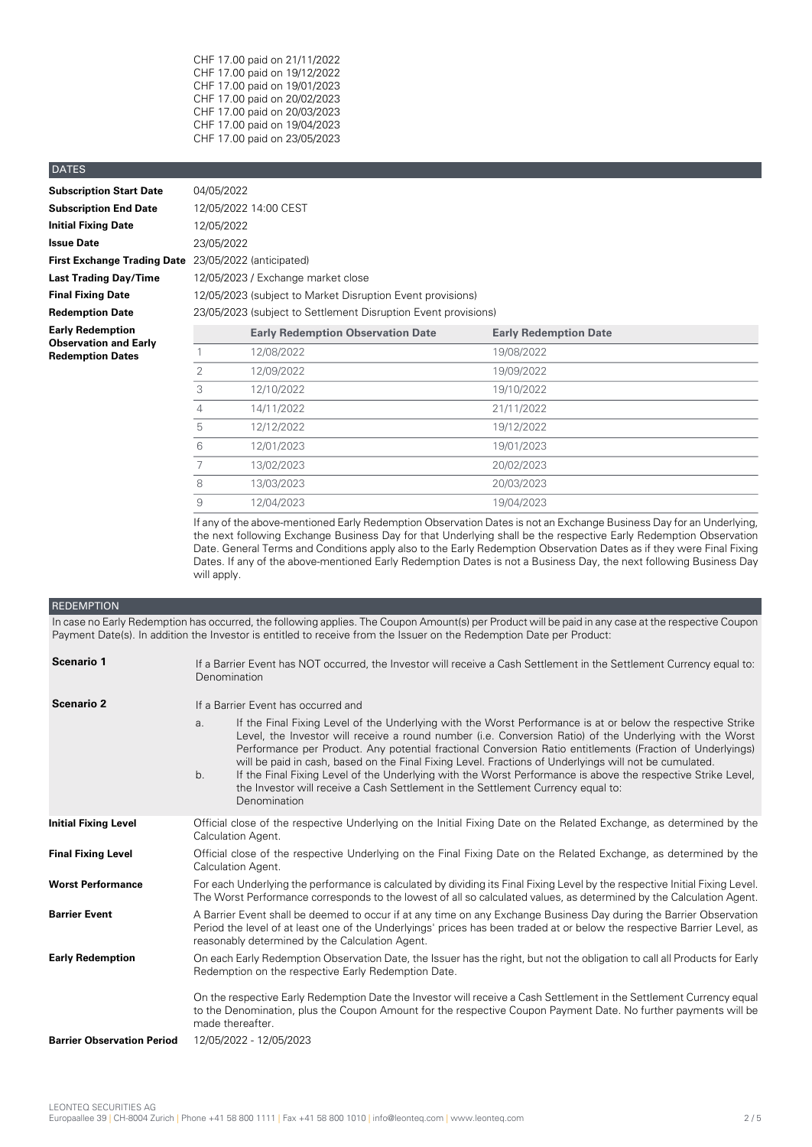CHF 17.00 paid on 21/11/2022 CHF 17.00 paid on 19/12/2022 CHF 17.00 paid on 19/01/2023 CHF 17.00 paid on 20/02/2023 CHF 17.00 paid on 20/03/2023 CHF 17.00 paid on 19/04/2023 CHF 17.00 paid on 23/05/2023

## DATES

| <b>Subscription Start Date</b>                          | 04/05/2022 |
|---------------------------------------------------------|------------|
| <b>Subscription End Date</b>                            | 12/05/2022 |
| <b>Initial Fixing Date</b>                              | 12/05/2022 |
| <b>Issue Date</b>                                       | 23/05/2022 |
| <b>First Exchange Trading Date</b>                      | 23/05/2022 |
| <b>Last Trading Day/Time</b>                            | 12/05/2023 |
| <b>Final Fixing Date</b>                                | 12/05/2023 |
| <b>Redemption Date</b>                                  | 23/05/2023 |
| <b>Early Redemption</b><br><b>Observation and Early</b> |            |
| <b>Redemption Dates</b>                                 | 1          |

**Subscription End Date** 12/05/2022 14:00 CEST **Initial Fixing Date** 12/05/2022 **Issue Date** 23/05/2022 **First Exchange Trading Date** 23/05/2022 (anticipated) **Last Trading Day/Time** 12/05/2023 / Exchange market close **Final Fixing Date** 12/05/2023 (subject to Market Disruption Event provisions) **Redemption Date** 23/05/2023 (subject to Settlement Disruption Event provisions)

| Early Redemption<br><b>Observation and Early</b> |   | <b>Early Redemption Observation Date</b> | <b>Early Redemption Date</b> |  |
|--------------------------------------------------|---|------------------------------------------|------------------------------|--|
| <b>Redemption Dates</b>                          |   | 12/08/2022                               | 19/08/2022                   |  |
|                                                  |   | 12/09/2022                               | 19/09/2022                   |  |
|                                                  |   | 12/10/2022                               | 19/10/2022                   |  |
|                                                  | 4 | 14/11/2022                               | 21/11/2022                   |  |
|                                                  | 5 | 12/12/2022                               | 19/12/2022                   |  |
|                                                  | 6 | 12/01/2023                               | 19/01/2023                   |  |
|                                                  |   | 13/02/2023                               | 20/02/2023                   |  |
|                                                  | 8 | 13/03/2023                               | 20/03/2023                   |  |
|                                                  | 9 | 12/04/2023                               | 19/04/2023                   |  |

If any of the above-mentioned Early Redemption Observation Dates is not an Exchange Business Day for an Underlying, the next following Exchange Business Day for that Underlying shall be the respective Early Redemption Observation Date. General Terms and Conditions apply also to the Early Redemption Observation Dates as if they were Final Fixing Dates. If any of the above-mentioned Early Redemption Dates is not a Business Day, the next following Business Day will apply.

## **REDEMPTION**

In case no Early Redemption has occurred, the following applies. The Coupon Amount(s) per Product will be paid in any case at the respective Coupon Payment Date(s). In addition the Investor is entitled to receive from the Issuer on the Redemption Date per Product:

| Scenario 1                        | If a Barrier Event has NOT occurred, the Investor will receive a Cash Settlement in the Settlement Currency equal to:<br>Denomination                                                                                                                                                                                                                                                                                                                                                                                                                                                                                                                                                      |  |  |
|-----------------------------------|--------------------------------------------------------------------------------------------------------------------------------------------------------------------------------------------------------------------------------------------------------------------------------------------------------------------------------------------------------------------------------------------------------------------------------------------------------------------------------------------------------------------------------------------------------------------------------------------------------------------------------------------------------------------------------------------|--|--|
| Scenario 2                        | If a Barrier Event has occurred and                                                                                                                                                                                                                                                                                                                                                                                                                                                                                                                                                                                                                                                        |  |  |
|                                   | If the Final Fixing Level of the Underlying with the Worst Performance is at or below the respective Strike<br>a.<br>Level, the Investor will receive a round number (i.e. Conversion Ratio) of the Underlying with the Worst<br>Performance per Product. Any potential fractional Conversion Ratio entitlements (Fraction of Underlyings)<br>will be paid in cash, based on the Final Fixing Level. Fractions of Underlyings will not be cumulated.<br>If the Final Fixing Level of the Underlying with the Worst Performance is above the respective Strike Level,<br>b <sub>1</sub><br>the Investor will receive a Cash Settlement in the Settlement Currency equal to:<br>Denomination |  |  |
| <b>Initial Fixing Level</b>       | Official close of the respective Underlying on the Initial Fixing Date on the Related Exchange, as determined by the<br>Calculation Agent.                                                                                                                                                                                                                                                                                                                                                                                                                                                                                                                                                 |  |  |
| <b>Final Fixing Level</b>         | Official close of the respective Underlying on the Final Fixing Date on the Related Exchange, as determined by the<br>Calculation Agent.                                                                                                                                                                                                                                                                                                                                                                                                                                                                                                                                                   |  |  |
| <b>Worst Performance</b>          | For each Underlying the performance is calculated by dividing its Final Fixing Level by the respective Initial Fixing Level.<br>The Worst Performance corresponds to the lowest of all so calculated values, as determined by the Calculation Agent.                                                                                                                                                                                                                                                                                                                                                                                                                                       |  |  |
| <b>Barrier Event</b>              | A Barrier Event shall be deemed to occur if at any time on any Exchange Business Day during the Barrier Observation<br>Period the level of at least one of the Underlyings' prices has been traded at or below the respective Barrier Level, as<br>reasonably determined by the Calculation Agent.                                                                                                                                                                                                                                                                                                                                                                                         |  |  |
| <b>Early Redemption</b>           | On each Early Redemption Observation Date, the Issuer has the right, but not the obligation to call all Products for Early<br>Redemption on the respective Early Redemption Date.                                                                                                                                                                                                                                                                                                                                                                                                                                                                                                          |  |  |
|                                   | On the respective Early Redemption Date the Investor will receive a Cash Settlement in the Settlement Currency equal<br>to the Denomination, plus the Coupon Amount for the respective Coupon Payment Date. No further payments will be<br>made thereafter.                                                                                                                                                                                                                                                                                                                                                                                                                                |  |  |
| <b>Barrier Observation Period</b> | 12/05/2022 - 12/05/2023                                                                                                                                                                                                                                                                                                                                                                                                                                                                                                                                                                                                                                                                    |  |  |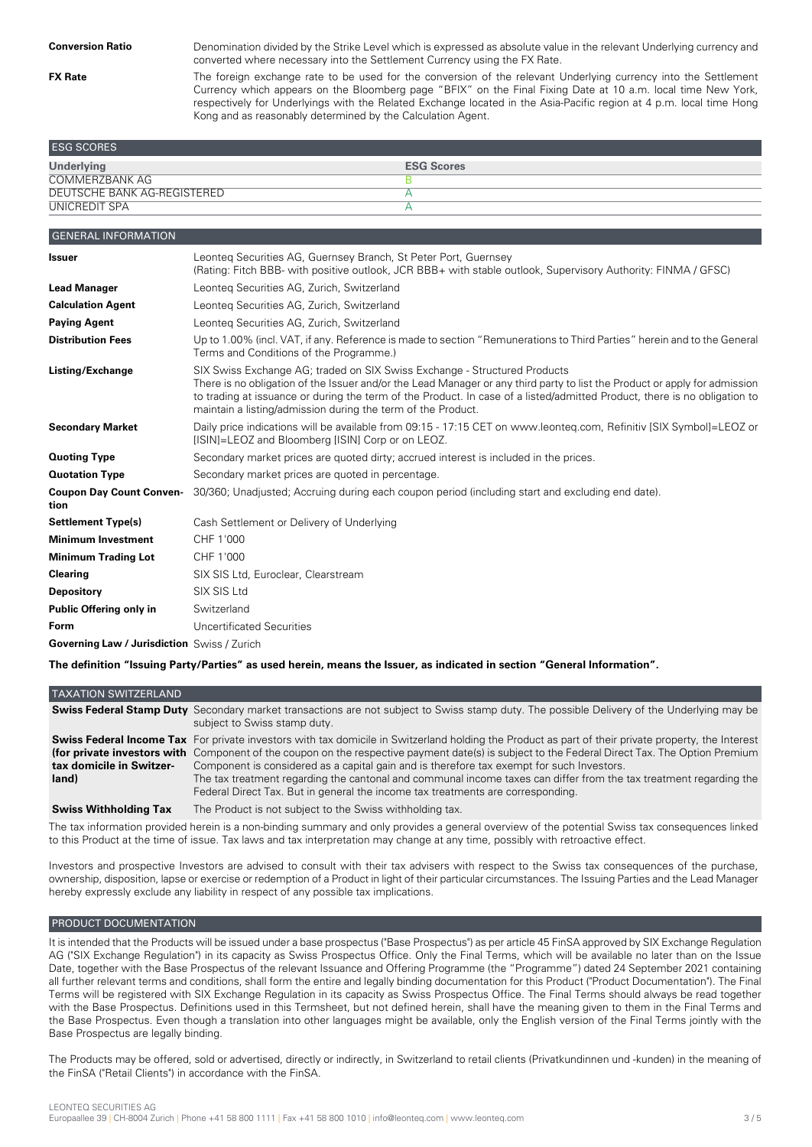**FX Rate**

Denomination divided by the Strike Level which is expressed as absolute value in the relevant Underlying currency and converted where necessary into the Settlement Currency using the FX Rate.

The foreign exchange rate to be used for the conversion of the relevant Underlying currency into the Settlement Currency which appears on the Bloomberg page "BFIX" on the Final Fixing Date at 10 a.m. local time New York, respectively for Underlyings with the Related Exchange located in the Asia-Pacific region at 4 p.m. local time Hong Kong and as reasonably determined by the Calculation Agent.

| <b>ESG SCORES</b>           |                   |
|-----------------------------|-------------------|
| <b>Underlying</b>           | <b>ESG Scores</b> |
| <b>COMMERZBANK AG</b>       |                   |
| DEUTSCHE BANK AG-REGISTERED |                   |
| UNICREDIT SPA               |                   |

| <b>GENERAL INFORMATION</b>                         |                                                                                                                                                                                                                                                                                                                                                                                                      |
|----------------------------------------------------|------------------------------------------------------------------------------------------------------------------------------------------------------------------------------------------------------------------------------------------------------------------------------------------------------------------------------------------------------------------------------------------------------|
| <b>Issuer</b>                                      | Leonteg Securities AG, Guernsey Branch, St Peter Port, Guernsey<br>(Rating: Fitch BBB- with positive outlook, JCR BBB+ with stable outlook, Supervisory Authority: FINMA / GFSC)                                                                                                                                                                                                                     |
| <b>Lead Manager</b>                                | Leonteg Securities AG, Zurich, Switzerland                                                                                                                                                                                                                                                                                                                                                           |
| <b>Calculation Agent</b>                           | Leonteg Securities AG, Zurich, Switzerland                                                                                                                                                                                                                                                                                                                                                           |
| <b>Paying Agent</b>                                | Leonteg Securities AG, Zurich, Switzerland                                                                                                                                                                                                                                                                                                                                                           |
| <b>Distribution Fees</b>                           | Up to 1.00% (incl. VAT, if any. Reference is made to section "Remunerations to Third Parties" herein and to the General<br>Terms and Conditions of the Programme.)                                                                                                                                                                                                                                   |
| Listing/Exchange                                   | SIX Swiss Exchange AG; traded on SIX Swiss Exchange - Structured Products<br>There is no obligation of the Issuer and/or the Lead Manager or any third party to list the Product or apply for admission<br>to trading at issuance or during the term of the Product. In case of a listed/admitted Product, there is no obligation to<br>maintain a listing/admission during the term of the Product. |
| <b>Secondary Market</b>                            | Daily price indications will be available from 09:15 - 17:15 CET on www.leonteq.com, Refinitiv [SIX Symbol]=LEOZ or<br>[ISIN]=LEOZ and Bloomberg [ISIN] Corp or on LEOZ.                                                                                                                                                                                                                             |
| <b>Quoting Type</b>                                | Secondary market prices are quoted dirty; accrued interest is included in the prices.                                                                                                                                                                                                                                                                                                                |
| <b>Quotation Type</b>                              | Secondary market prices are quoted in percentage.                                                                                                                                                                                                                                                                                                                                                    |
| <b>Coupon Day Count Conven-</b><br>tion            | 30/360; Unadjusted; Accruing during each coupon period (including start and excluding end date).                                                                                                                                                                                                                                                                                                     |
| <b>Settlement Type(s)</b>                          | Cash Settlement or Delivery of Underlying                                                                                                                                                                                                                                                                                                                                                            |
| <b>Minimum Investment</b>                          | CHF 1'000                                                                                                                                                                                                                                                                                                                                                                                            |
| <b>Minimum Trading Lot</b>                         | CHF 1'000                                                                                                                                                                                                                                                                                                                                                                                            |
| <b>Clearing</b>                                    | SIX SIS Ltd, Euroclear, Clearstream                                                                                                                                                                                                                                                                                                                                                                  |
| <b>Depository</b>                                  | SIX SIS Ltd                                                                                                                                                                                                                                                                                                                                                                                          |
| Public Offering only in                            | Switzerland                                                                                                                                                                                                                                                                                                                                                                                          |
| <b>Form</b>                                        | Uncertificated Securities                                                                                                                                                                                                                                                                                                                                                                            |
| <b>Governing Law / Jurisdiction</b> Swiss / Zurich |                                                                                                                                                                                                                                                                                                                                                                                                      |

The definition "Issuing Party/Parties" as used herein, means the Issuer, as indicated in section "General Information".

| <b>TAXATION SWITZERLAND</b><br>subject to Swiss stamp duty.<br>(for private investors with Component of the coupon on the respective payment date(s) is subject to the Federal Direct Tax. The Option Premium<br>tax domicile in Switzer-<br>Component is considered as a capital gain and is therefore tax exempt for such Investors.<br>land)<br>Federal Direct Tax. But in general the income tax treatments are corresponding.    |                              |                                                          |
|---------------------------------------------------------------------------------------------------------------------------------------------------------------------------------------------------------------------------------------------------------------------------------------------------------------------------------------------------------------------------------------------------------------------------------------|------------------------------|----------------------------------------------------------|
| <b>Swiss Federal Stamp Duty</b> Secondary market transactions are not subject to Swiss stamp duty. The possible Delivery of the Underlying may be<br><b>Swiss Federal Income Tax</b> For private investors with tax domicile in Switzerland holding the Product as part of their private property, the Interest<br>The tax treatment regarding the cantonal and communal income taxes can differ from the tax treatment regarding the |                              |                                                          |
|                                                                                                                                                                                                                                                                                                                                                                                                                                       |                              |                                                          |
|                                                                                                                                                                                                                                                                                                                                                                                                                                       |                              |                                                          |
|                                                                                                                                                                                                                                                                                                                                                                                                                                       | <b>Swiss Withholding Tax</b> | The Product is not subject to the Swiss withholding tax. |

The tax information provided herein is a non-binding summary and only provides a general overview of the potential Swiss tax consequences linked to this Product at the time of issue. Tax laws and tax interpretation may change at any time, possibly with retroactive effect.

Investors and prospective Investors are advised to consult with their tax advisers with respect to the Swiss tax consequences of the purchase, ownership, disposition, lapse or exercise or redemption of a Product in light of their particular circumstances. The Issuing Parties and the Lead Manager hereby expressly exclude any liability in respect of any possible tax implications.

## PRODUCT DOCUMENTATION

It is intended that the Products will be issued under a base prospectus ("Base Prospectus") as per article 45 FinSA approved by SIX Exchange Regulation AG ("SIX Exchange Regulation") in its capacity as Swiss Prospectus Office. Only the Final Terms, which will be available no later than on the Issue Date, together with the Base Prospectus of the relevant Issuance and Offering Programme (the "Programme") dated 24 September 2021 containing all further relevant terms and conditions, shall form the entire and legally binding documentation for this Product ("Product Documentation"). The Final Terms will be registered with SIX Exchange Regulation in its capacity as Swiss Prospectus Office. The Final Terms should always be read together with the Base Prospectus. Definitions used in this Termsheet, but not defined herein, shall have the meaning given to them in the Final Terms and the Base Prospectus. Even though a translation into other languages might be available, only the English version of the Final Terms jointly with the Base Prospectus are legally binding.

The Products may be offered, sold or advertised, directly or indirectly, in Switzerland to retail clients (Privatkundinnen und -kunden) in the meaning of the FinSA ("Retail Clients") in accordance with the FinSA.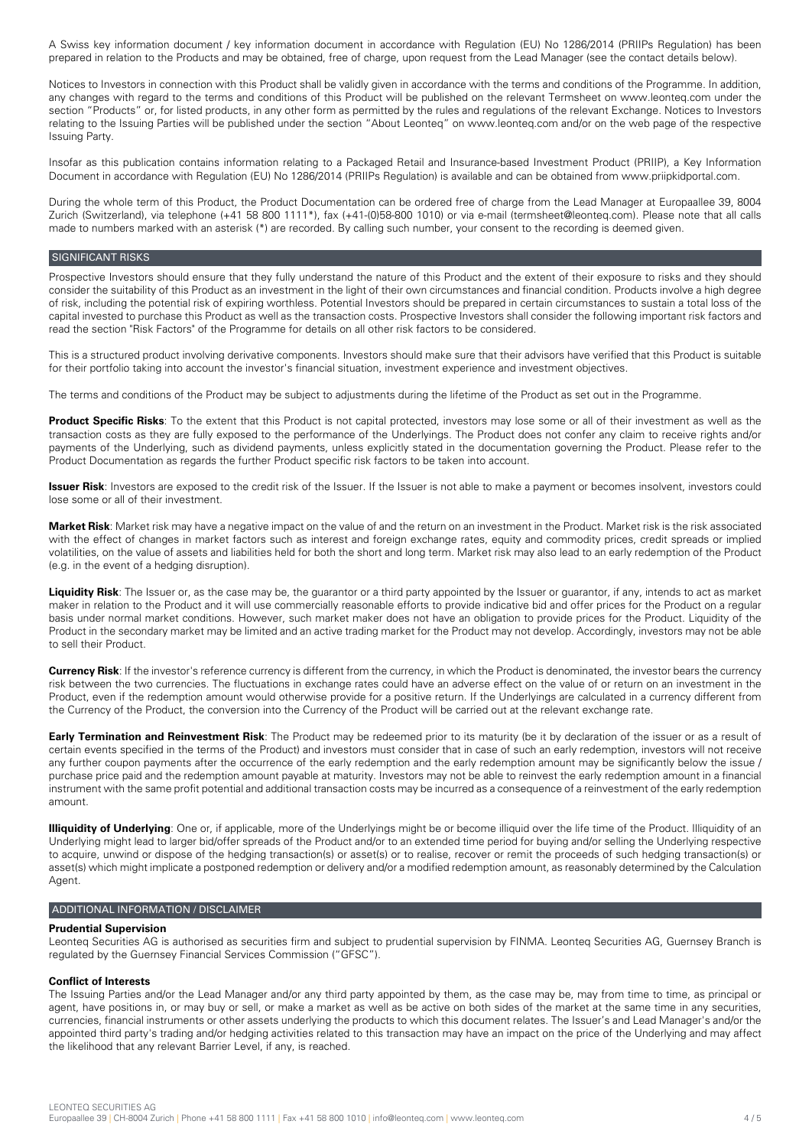A Swiss key information document / key information document in accordance with Regulation (EU) No 1286/2014 (PRIIPs Regulation) has been prepared in relation to the Products and may be obtained, free of charge, upon request from the Lead Manager (see the contact details below).

Notices to Investors in connection with this Product shall be validly given in accordance with the terms and conditions of the Programme. In addition, any changes with regard to the terms and conditions of this Product will be published on the relevant Termsheet on www.leonteq.com under the section "Products" or, for listed products, in any other form as permitted by the rules and regulations of the relevant Exchange. Notices to Investors relating to the Issuing Parties will be published under the section "About Leonteq" on www.leonteq.com and/or on the web page of the respective Issuing Party.

Insofar as this publication contains information relating to a Packaged Retail and Insurance-based Investment Product (PRIIP), a Key Information Document in accordance with Regulation (EU) No 1286/2014 (PRIIPs Regulation) is available and can be obtained from www.priipkidportal.com.

During the whole term of this Product, the Product Documentation can be ordered free of charge from the Lead Manager at Europaallee 39, 8004 Zurich (Switzerland), via telephone (+41 58 800 1111\*), fax (+41-(0)58-800 1010) or via e-mail (termsheet@leonteq.com). Please note that all calls made to numbers marked with an asterisk (\*) are recorded. By calling such number, your consent to the recording is deemed given.

## SIGNIFICANT RISKS

Prospective Investors should ensure that they fully understand the nature of this Product and the extent of their exposure to risks and they should consider the suitability of this Product as an investment in the light of their own circumstances and financial condition. Products involve a high degree of risk, including the potential risk of expiring worthless. Potential Investors should be prepared in certain circumstances to sustain a total loss of the capital invested to purchase this Product as well as the transaction costs. Prospective Investors shall consider the following important risk factors and read the section "Risk Factors" of the Programme for details on all other risk factors to be considered.

This is a structured product involving derivative components. Investors should make sure that their advisors have verified that this Product is suitable for their portfolio taking into account the investor's financial situation, investment experience and investment objectives.

The terms and conditions of the Product may be subject to adjustments during the lifetime of the Product as set out in the Programme.

**Product Specific Risks**: To the extent that this Product is not capital protected, investors may lose some or all of their investment as well as the transaction costs as they are fully exposed to the performance of the Underlyings. The Product does not confer any claim to receive rights and/or payments of the Underlying, such as dividend payments, unless explicitly stated in the documentation governing the Product. Please refer to the Product Documentation as regards the further Product specific risk factors to be taken into account.

**Issuer Risk**: Investors are exposed to the credit risk of the Issuer. If the Issuer is not able to make a payment or becomes insolvent, investors could lose some or all of their investment.

**Market Risk**: Market risk may have a negative impact on the value of and the return on an investment in the Product. Market risk is the risk associated with the effect of changes in market factors such as interest and foreign exchange rates, equity and commodity prices, credit spreads or implied volatilities, on the value of assets and liabilities held for both the short and long term. Market risk may also lead to an early redemption of the Product (e.g. in the event of a hedging disruption).

**Liquidity Risk**: The Issuer or, as the case may be, the guarantor or a third party appointed by the Issuer or guarantor, if any, intends to act as market maker in relation to the Product and it will use commercially reasonable efforts to provide indicative bid and offer prices for the Product on a regular basis under normal market conditions. However, such market maker does not have an obligation to provide prices for the Product. Liquidity of the Product in the secondary market may be limited and an active trading market for the Product may not develop. Accordingly, investors may not be able to sell their Product.

**Currency Risk**: If the investor's reference currency is different from the currency, in which the Product is denominated, the investor bears the currency risk between the two currencies. The fluctuations in exchange rates could have an adverse effect on the value of or return on an investment in the Product, even if the redemption amount would otherwise provide for a positive return. If the Underlyings are calculated in a currency different from the Currency of the Product, the conversion into the Currency of the Product will be carried out at the relevant exchange rate.

**Early Termination and Reinvestment Risk**: The Product may be redeemed prior to its maturity (be it by declaration of the issuer or as a result of certain events specified in the terms of the Product) and investors must consider that in case of such an early redemption, investors will not receive any further coupon payments after the occurrence of the early redemption and the early redemption amount may be significantly below the issue / purchase price paid and the redemption amount payable at maturity. Investors may not be able to reinvest the early redemption amount in a financial instrument with the same profit potential and additional transaction costs may be incurred as a consequence of a reinvestment of the early redemption amount.

**Illiquidity of Underlying**: One or, if applicable, more of the Underlyings might be or become illiquid over the life time of the Product. Illiquidity of an Underlying might lead to larger bid/offer spreads of the Product and/or to an extended time period for buying and/or selling the Underlying respective to acquire, unwind or dispose of the hedging transaction(s) or asset(s) or to realise, recover or remit the proceeds of such hedging transaction(s) or asset(s) which might implicate a postponed redemption or delivery and/or a modified redemption amount, as reasonably determined by the Calculation Agent.

## ADDITIONAL INFORMATION / DISCLAIMER

## **Prudential Supervision**

Leonteq Securities AG is authorised as securities firm and subject to prudential supervision by FINMA. Leonteq Securities AG, Guernsey Branch is regulated by the Guernsey Financial Services Commission ("GFSC").

## **Conflict of Interests**

The Issuing Parties and/or the Lead Manager and/or any third party appointed by them, as the case may be, may from time to time, as principal or agent, have positions in, or may buy or sell, or make a market as well as be active on both sides of the market at the same time in any securities, currencies, financial instruments or other assets underlying the products to which this document relates. The Issuer's and Lead Manager's and/or the appointed third party's trading and/or hedging activities related to this transaction may have an impact on the price of the Underlying and may affect the likelihood that any relevant Barrier Level, if any, is reached.